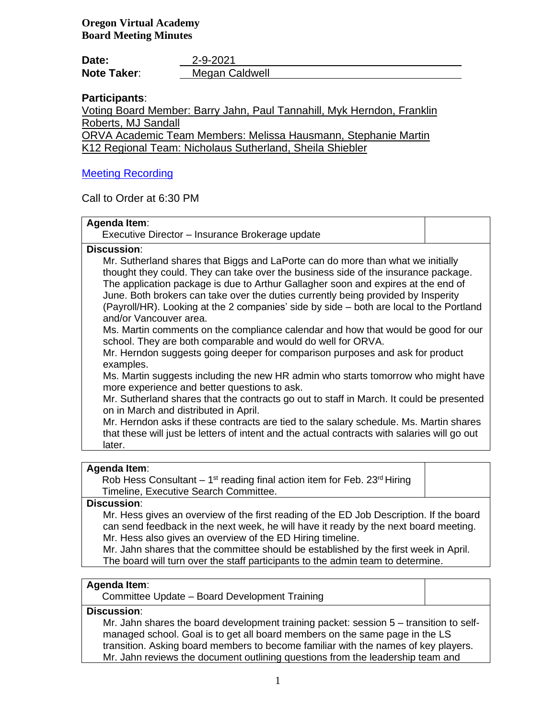| Date:              | 2-9-2021       |
|--------------------|----------------|
| <b>Note Taker:</b> | Megan Caldwell |

# **Participants**:

Voting Board Member: Barry Jahn, Paul Tannahill, Myk Herndon, Franklin Roberts, MJ Sandall

ORVA Academic Team Members: Melissa Hausmann, Stephanie Martin K12 Regional Team: Nicholaus Sutherland, Sheila Shiebler

# [Meeting Recording](https://k12inc-my.sharepoint.com/personal/mecaldwell_oregonva_org/Documents/Documents/Secretary%20to%20the%20Board/Board%20Meetings/20-21/February%202021/Work%20Session%202-9-21/zoom_0.mp4)

Call to Order at 6:30 PM

| Agenda Item:<br>Executive Director – Insurance Brokerage update                                                                                                                                                                                                                                                                                                                                                                                                                                                                                                                                                                                                                                                                                                                                                                                                                                                                                                                                                                                                                                                                                                                                                             |  |
|-----------------------------------------------------------------------------------------------------------------------------------------------------------------------------------------------------------------------------------------------------------------------------------------------------------------------------------------------------------------------------------------------------------------------------------------------------------------------------------------------------------------------------------------------------------------------------------------------------------------------------------------------------------------------------------------------------------------------------------------------------------------------------------------------------------------------------------------------------------------------------------------------------------------------------------------------------------------------------------------------------------------------------------------------------------------------------------------------------------------------------------------------------------------------------------------------------------------------------|--|
| <b>Discussion:</b><br>Mr. Sutherland shares that Biggs and LaPorte can do more than what we initially<br>thought they could. They can take over the business side of the insurance package.<br>The application package is due to Arthur Gallagher soon and expires at the end of<br>June. Both brokers can take over the duties currently being provided by Insperity<br>(Payroll/HR). Looking at the 2 companies' side by side - both are local to the Portland<br>and/or Vancouver area.<br>Ms. Martin comments on the compliance calendar and how that would be good for our<br>school. They are both comparable and would do well for ORVA.<br>Mr. Herndon suggests going deeper for comparison purposes and ask for product<br>examples.<br>Ms. Martin suggests including the new HR admin who starts tomorrow who might have<br>more experience and better questions to ask.<br>Mr. Sutherland shares that the contracts go out to staff in March. It could be presented<br>on in March and distributed in April.<br>Mr. Herndon asks if these contracts are tied to the salary schedule. Ms. Martin shares<br>that these will just be letters of intent and the actual contracts with salaries will go out<br>later. |  |
|                                                                                                                                                                                                                                                                                                                                                                                                                                                                                                                                                                                                                                                                                                                                                                                                                                                                                                                                                                                                                                                                                                                                                                                                                             |  |

#### **Agenda Item**:

Rob Hess Consultant  $-1$ <sup>st</sup> reading final action item for Feb. 23<sup>rd</sup> Hiring Timeline, Executive Search Committee.

### **Discussion**:

Mr. Hess gives an overview of the first reading of the ED Job Description. If the board can send feedback in the next week, he will have it ready by the next board meeting. Mr. Hess also gives an overview of the ED Hiring timeline.

Mr. Jahn shares that the committee should be established by the first week in April. The board will turn over the staff participants to the admin team to determine.

## **Agenda Item**:

Committee Update – Board Development Training

# **Discussion**:

Mr. Jahn shares the board development training packet: session 5 – transition to selfmanaged school. Goal is to get all board members on the same page in the LS transition. Asking board members to become familiar with the names of key players. Mr. Jahn reviews the document outlining questions from the leadership team and